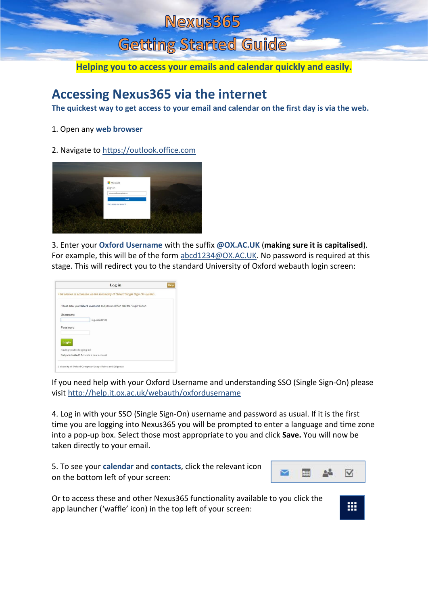## Nexus365

## Getting Started Guide

**Helping you to access your emails and calendar quickly and easily.**

## **Accessing Nexus365 via the internet**

**The quickest way to get access to your email and calendar on the first day is via the web.**

- 1. Open any **web browser**
- 2. Navigate to [https://outlook.office.com](https://outlook.office.com/)



3. Enter your **Oxford Username** with the suffix **@OX.AC.UK** (**making sure it is capitalised**). For example, this will be of the form [abcd1234@OX.AC.UK.](mailto:abcd1234@OX.AC.UK) No password is required at this stage. This will redirect you to the standard University of Oxford webauth login screen:



If you need help with your Oxford Username and understanding SSO (Single Sign-On) please visit<http://help.it.ox.ac.uk/webauth/oxfordusername>

4. Log in with your SSO (Single Sign-On) username and password as usual. If it is the first time you are logging into Nexus365 you will be prompted to enter a language and time zone into a pop-up box. Select those most appropriate to you and click **Save.** You will now be taken directly to your email.

5. To see your **calendar** and **contacts**, click the relevant icon on the bottom left of your screen:



₩

Or to access these and other Nexus365 functionality available to you click the app launcher ('waffle' icon) in the top left of your screen: